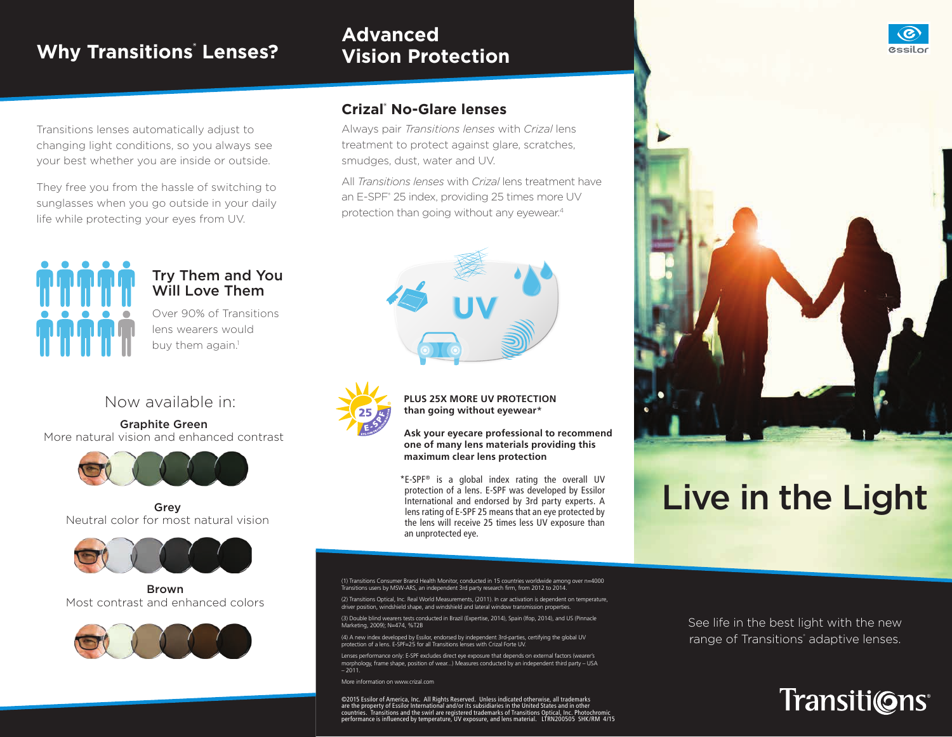## **Why Transitions® Lenses?**

#### **Advanced Vision Protection**



Transitions lenses automatically adjust to changing light conditions, so you always see your best whether you are inside or outside.

They free you from the hassle of switching to sunglasses when you go outside in your daily life while protecting your eyes from UV.



#### Try Them and You Will Love Them

Over 90% of Transitions lens wearers would buy them again.<sup>1</sup>

#### Now available in:

Graphite Green More natural vision and enhanced contrast



Grey Neutral color for most natural vision



Brown Most contrast and enhanced colors



#### **Crizal® No-Glare lenses**

Always pair *Transitions lenses* with *Crizal* lens treatment to protect against glare, scratches, smudges, dust, water and UV.

All *Transitions lenses* with *Crizal* lens treatment have an E-SPF<sup>®</sup> 25 index, providing 25 times more UV protection than going without any eyewear.4





**PLUS 25X MORE UV PROTECTION than going without eyewear**\*

**Ask your eyecare professional to recommend one of many lens materials providing this maximum clear lens protection**

\*E-SPF® is a global index rating the overall UV protection of a lens. E-SPF was developed by Essilor International and endorsed by 3rd party experts. A lens rating of E-SPF 25 means that an eye protected by the lens will receive 25 times less UV exposure than an unprotected eye.

(1) Transitions Consumer Brand Health Monitor, conducted in 15 countries worldwide among over n=4000 Transitions users by MSW-ARS, an independent 3rd party research firm, from 2012 to 2014.

(2) Transitions Optical, Inc. Real World Measurements, (2011). In car activation is dependent on temperature,<br>driver position, windshield shape, and windshield and lateral window transmission properties.

(3) Double blind wearers tests conducted in Brazil (Expertise, 2014), Spain (Ifop, 2014), and US (Pinnacle Marketing, 2009); N=474, %T2B

(4) A new index developed by Essilor, endorsed by independent 3rd-parties, certifying the global UV protection of a lens. E-SPF=25 for all Transitions lenses with Crizal Forte UV.

Lenses performance only: E-SPF excludes direct eye exposure that depends on external factors (wearer's morphology, frame shape, position of wear...) Measures conducted by an independent third party – USA – 2011.

More information on www.crizal.com

©2015 Essilor of America, Inc. All Rights Reserved. Unless indicated otherwise, all trademarks<br>are the property of Essilor International and/or its subsidiaries in the United States and in other<br>countries. Transitions a performance is influenced by temperature, UV exposure, and lens material. LTRN200505 SHK/RM 4/15 See life in the best light with the new range of Transitions<sup>®</sup> adaptive lenses.

Live in the Light